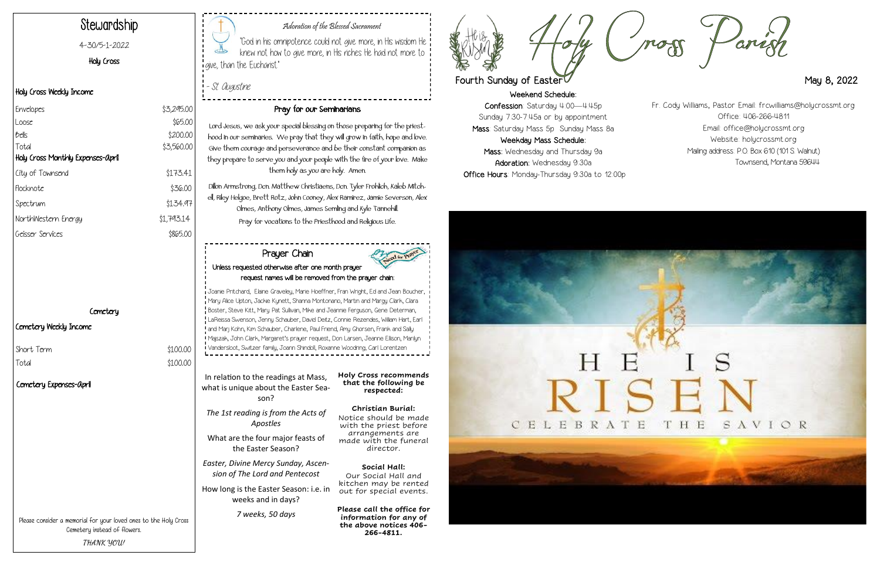Weekend Schedule: Confession: Saturday 4:00—4:45p Sunday 7:30-7:45a or by appointment Mass: Saturday Mass 5p Sunday Mass 8a Weekday Mass Schedule: Mass: Wednesday and Thursday 9a Adoration: Wednesday 9:30a Office Hours: Monday-Thursday 9:30a to 12:00p





#### Adoration of the Blessed Sacrament

"God in his omnipotence could not give more, in His wisdom He knew not how to give more, in His riches He had not more to give, than the Eucharist."

- St. Augustine

# Stewardship

4-30/5-1-2022

Holy Cross

#### Holy Cross Weekly Income

#### Cemetery Weekly Income

Short Term  $$100.00$ 

Total \$100.00

### Pray for our Seminarians

Lord Jesus, we ask your special blessing on those preparing for the priesthood in our seminaries. We pray that they will grow in faith, hope and love. Give them courage and perseverance and be their constant companion as they prepare to serve you and your people with the fire of your love. Make them holy as you are holy. Amen.

| Envelopes                         | \$3,295.00 |
|-----------------------------------|------------|
| Loose                             | \$65.00    |
| Bells                             | \$200.00   |
| Total                             | \$3,560.00 |
| Holy Cross Monthly Expenses-April |            |
| City of Townsend                  | \$173.41   |
| Flocknote                         | \$36.00    |
| Spectrum                          | \$134.97   |
| NorthWestern Energy               | \$1,793.14 |
| Geisser Services                  | \$865.00   |

#### **Cemetery**

Dillon Armstrong, Dcn. Matthew Christiaens, Dcn. Tyler Frohlich, Kaleb Mitchell, Riley Helgoe, Brett Rotz, John Cooney, Alex Ramirez, Jamie Severson, Alex Olmes, Anthony Olmes, James Semling and Kyle Tannehill. Pray for vocations to the Priesthood and Religious Life.

Please consider a memorial for your loved ones to the Holy Cross Cemetery instead of flowers. **THANK YOU!**

In relation to the readings at Mass, what is unique about the Easter Season?

*The 1st reading is from the Acts of Apostles* 

What are the four major feasts of the Easter Season?

*Easter, Divine Mercy Sunday, Ascension of The Lord and Pentecost*

How long is the Easter Season: i.e. in weeks and in days?

*7 weeks, 50 days*

**Holy Cross recommends that the following be respected:**

**Christian Burial:** Notice should be made with the priest before arrangements are made with the funeral director.

**Social Hall:**  Our Social Hall and kitchen may be rented out for special events.

**Please call the office for information for any of the above notices 406- 266-4811.**





## Fourth Sunday of Easter May 8, 2022

#### Prayer Chain Unless requested otherwise after one month prayer request names will be removed from the prayer chain:

Joanie Pritchard, Elaine Graveley, Marie Hoeffner, Fran Wright, Ed and Jean Boucher, Mary Alice Upton, Jackie Kynett, Shanna Montonario, Martin and Margy Clark, Clara Boster, Steve Kitt, Mary Pat Sullivan, Mike and Jeannie Ferguson, Gene Determan, LaReissa Swenson, Jenny Schauber, David Deitz, Connie Rezendes, William Hart, Earl and Marj Kohn, Kim Schauber, Charlene, Paul Friend, Amy Ghorsen, Frank and Sally Majszak, John Clark, Margaret's prayer request, Don Larsen, Jeanne Ellison, Marilyn Vandersloot, Switzer family, Joann Shindoll, Roxanne Woodring, Carl Lorentzen

Fr. Cody Williams, Pastor Email: frcwilliams@holycrossmt.org Office: 406-266-4811 Email: office@holycrossmt.org Website: holycrossmt.org Mailing address: P.O. Box 610 (101 S. Walnut) Townsend, Montana 59644

Cemetery Expenses-April